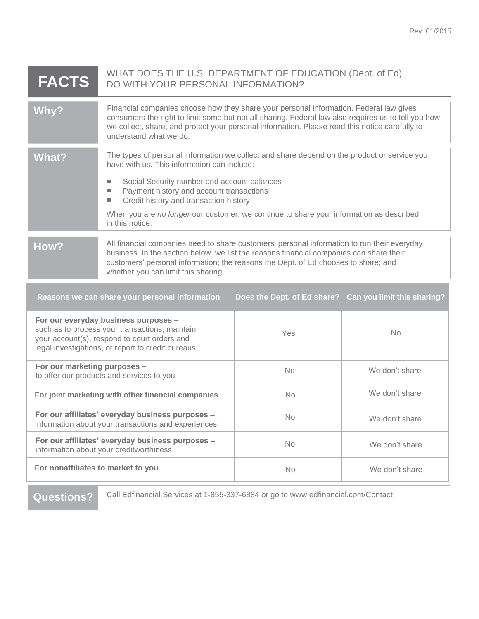| <b>FACTS</b>                                                                                                                                                                                | WHAT DOES THE U.S. DEPARTMENT OF EDUCATION (Dept. of Ed)<br>DO WITH YOUR PERSONAL INFORMATION?                                                                                                                                                                                                                                                                                                                                           |           |                |  |
|---------------------------------------------------------------------------------------------------------------------------------------------------------------------------------------------|------------------------------------------------------------------------------------------------------------------------------------------------------------------------------------------------------------------------------------------------------------------------------------------------------------------------------------------------------------------------------------------------------------------------------------------|-----------|----------------|--|
| Why?                                                                                                                                                                                        | Financial companies choose how they share your personal information. Federal law gives<br>consumers the right to limit some but not all sharing. Federal law also requires us to tell you how<br>we collect, share, and protect your personal information. Please read this notice carefully to<br>understand what we do.                                                                                                                |           |                |  |
| <b>What?</b>                                                                                                                                                                                | The types of personal information we collect and share depend on the product or service you<br>have with us. This information can include:<br>Social Security number and account balances<br>u,<br>Payment history and account transactions<br>$\mathcal{L}_{\mathcal{A}}$<br>Credit history and transaction history<br>a.<br>When you are no longer our customer, we continue to share your information as described<br>in this notice. |           |                |  |
| How?                                                                                                                                                                                        | All financial companies need to share customers' personal information to run their everyday<br>business. In the section below, we list the reasons financial companies can share their<br>customers' personal information; the reasons the Dept. of Ed chooses to share; and<br>whether you can limit this sharing.                                                                                                                      |           |                |  |
| Reasons we can share your personal information<br>Does the Dept. of Ed share? Can you limit this sharing?                                                                                   |                                                                                                                                                                                                                                                                                                                                                                                                                                          |           |                |  |
| For our everyday business purposes -<br>such as to process your transactions, maintain<br>your account(s), respond to court orders and<br>legal investigations, or report to credit bureaus |                                                                                                                                                                                                                                                                                                                                                                                                                                          | Yes       | <b>No</b>      |  |
| For our marketing purposes -<br>to offer our products and services to you                                                                                                                   |                                                                                                                                                                                                                                                                                                                                                                                                                                          | <b>No</b> | We don't share |  |

**For our affiliates' everyday business purposes –** information about your transactions and experiences

**For our affiliates' everyday business purposes –**

information about your creditworthiness

Questions? Call Edfinancial Services at 1-855-337-6884 or go to www.edfinancial.com/Contact

No We don't share

No We don't share

**For joint marketing with other financial companies No No We don't share** 

**For nonaffiliates to market to you** No No We don't share